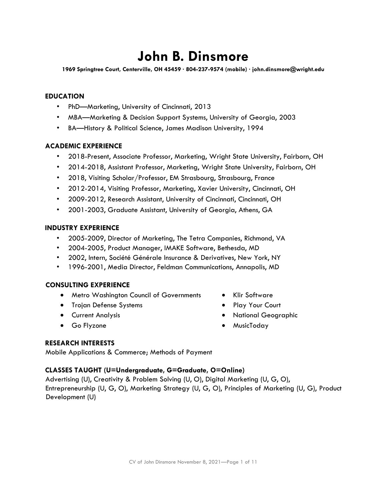# **John B. Dinsmore**

**1969 Springtree Court, Centerville, OH 45459 ∙ 804-237-9574 (mobile) ∙ john.dinsmore@wright.edu**

## **EDUCATION**

- PhD—Marketing, University of Cincinnati, 2013
- MBA—Marketing & Decision Support Systems, University of Georgia, 2003
- BA—History & Political Science, James Madison University, 1994

### **ACADEMIC EXPERIENCE**

- 2018-Present, Associate Professor, Marketing, Wright State University, Fairborn, OH
- 2014-2018, Assistant Professor, Marketing, Wright State University, Fairborn, OH
- 2018, Visiting Scholar/Professor, EM Strasbourg, Strasbourg, France
- 2012-2014, Visiting Professor, Marketing, Xavier University, Cincinnati, OH
- 2009-2012, Research Assistant, University of Cincinnati, Cincinnati, OH
- 2001-2003, Graduate Assistant, University of Georgia, Athens, GA

### **INDUSTRY EXPERIENCE**

- 2005-2009, Director of Marketing, The Tetra Companies, Richmond, VA
- 2004-2005, Product Manager, IMAKE Software, Bethesda, MD
- 2002, Intern, Société Générale Insurance & Derivatives, New York, NY
- 1996-2001, Media Director, Feldman Communications, Annapolis, MD

#### **CONSULTING EXPERIENCE**

- Metro Washington Council of Governments Klir Software
- Trojan Defense Systems Play Your Court
- 
- 
- 
- 
- Current Analysis National Geographic
- Go Flyzone MusicToday

## **RESEARCH INTERESTS**

Mobile Applications & Commerce; Methods of Payment

#### **CLASSES TAUGHT (U=Undergraduate, G=Graduate, O=Online)**

Advertising (U), Creativity & Problem Solving (U, O), Digital Marketing (U, G, O), Entrepreneurship (U, G, O), Marketing Strategy (U, G, O), Principles of Marketing (U, G), Product Development (U)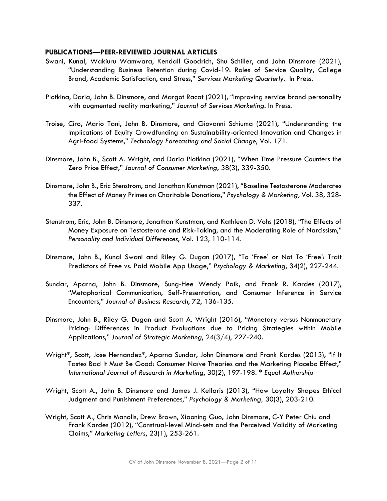#### **PUBLICATIONS—PEER-REVIEWED JOURNAL ARTICLES**

- Swani, Kunal, Wakiuru Wamwara, Kendall Goodrich, Shu Schiller, and John Dinsmore (2021), "Understanding Business Retention during Covid-19: Roles of Service Quality, College Brand, Academic Satisfaction, and Stress," *Services Marketing Quarterly*. In Press.
- Plotkina, Daria, John B. Dinsmore, and Margot Racat (2021), "Improving service brand personality with augmented reality marketing," *Journal of Services Marketing*. In Press.
- Troise, Ciro, Mario Tani, John B. Dinsmore, and Giovanni Schiuma (2021), "Understanding the Implications of Equity Crowdfunding on Sustainability-oriented Innovation and Changes in Agri-food Systems," *Technology Forecasting and Social Change*, Vol. 171.
- Dinsmore, John B., Scott A. Wright, and Daria Plotkina (2021), "When Time Pressure Counters the Zero Price Effect," *Journal of Consumer Marketing*, 38(3), 339-350.
- Dinsmore, John B., Eric Stenstrom, and Jonathan Kunstman (2021), "Baseline Testosterone Moderates the Effect of Money Primes on Charitable Donations," *Psychology & Marketing,* Vol. 38, 328- 337.
- Stenstrom, Eric, John B. Dinsmore, Jonathan Kunstman, and Kathleen D. Vohs (2018), "The Effects of Money Exposure on Testosterone and Risk-Taking, and the Moderating Role of Narcissism," *Personality and Individual Differences*, Vol. 123, 110-114.
- Dinsmore, John B., Kunal Swani and Riley G. Dugan (2017), "To 'Free' or Not To 'Free': Trait Predictors of Free vs. Paid Mobile App Usage," *Psychology & Marketing*, 34(2), 227-244.
- Sundar, Aparna, John B. Dinsmore, Sung-Hee Wendy Paik, and Frank R. Kardes (2017), "Metaphorical Communication, Self-Presentation, and Consumer Inference in Service Encounters," *Journal of Business Research*, 72, 136-135.
- Dinsmore, John B., Riley G. Dugan and Scott A. Wright (2016), "Monetary versus Nonmonetary Pricing: Differences in Product Evaluations due to Pricing Strategies within Mobile Applications," *Journal of Strategic Marketing*, 24(3/4), 227-240.
- Wright\*, Scott, Jose Hernandez\*, Aparna Sundar, John Dinsmore and Frank Kardes (2013), "If It Tastes Bad It Must Be Good: Consumer Naïve Theories and the Marketing Placebo Effect," *International Journal of Research in Marketing*, 30(2), 197-198. *\* Equal Authorship*
- Wright, Scott A., John B. Dinsmore and James J. Kellaris (2013), "How Loyalty Shapes Ethical Judgment and Punishment Preferences," *Psychology & Marketing,* 30(3), 203-210.
- Wright, Scott A., Chris Manolis, Drew Brown, Xiaoning Guo**,** John Dinsmore, C-Y Peter Chiu and Frank Kardes (2012), "Construal-level Mind-sets and the Perceived Validity of Marketing Claims," *Marketing Letters*, 23(1), 253-261.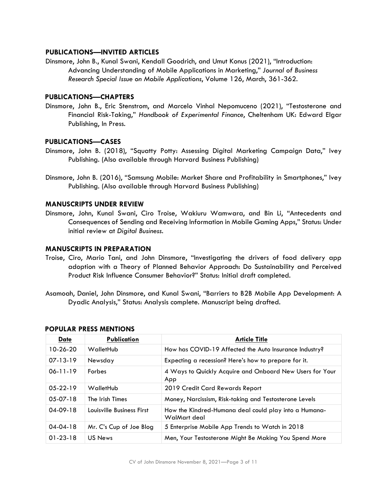## **PUBLICATIONS—INVITED ARTICLES**

Dinsmore, John B., Kunal Swani, Kendall Goodrich, and Umut Konus (2021), "Introduction: Advancing Understanding of Mobile Applications in Marketing," *Journal of Business Research Special Issue on Mobile Applications*, Volume 126, March, 361-362.

#### **PUBLICATIONS—CHAPTERS**

Dinsmore, John B., Eric Stenstrom, and Marcelo Vinhal Nepomuceno (2021), "Testosterone and Financial Risk-Taking," *Handbook of Experimental Finance*, Cheltenham UK: Edward Elgar Publishing, In Press.

#### **PUBLICATIONS—CASES**

- Dinsmore, John B. (2018), "Squatty Potty: Assessing Digital Marketing Campaign Data," Ivey Publishing. (Also available through Harvard Business Publishing)
- Dinsmore, John B. (2016), "Samsung Mobile: Market Share and Profitability in Smartphones," Ivey Publishing. (Also available through Harvard Business Publishing)

#### **MANUSCRIPTS UNDER REVIEW**

Dinsmore, John, Kunal Swani, Ciro Troise, Wakiuru Wamwara, and Bin Li, "Antecedents and Consequences of Sending and Receiving Information in Mobile Gaming Apps," Status: Under initial review at *Digital Business*.

## **MANUSCRIPTS IN PREPARATION**

- Troise, Ciro, Mario Tani, and John Dinsmore, "Investigating the drivers of food delivery app adoption with a Theory of Planned Behavior Approach: Do Sustainability and Perceived Product Risk Influence Consumer Behavior?" Status: Initial draft completed.
- Asamoah, Daniel, John Dinsmore, and Kunal Swani, "Barriers to B2B Mobile App Development: A Dyadic Analysis," Status: Analysis complete. Manuscript being drafted.

| <b>Date</b>    | Publication               | <b>Article Title</b>                                                  |
|----------------|---------------------------|-----------------------------------------------------------------------|
| 10-26-20       | WalletHub                 | How has COVID-19 Affected the Auto Insurance Industry?                |
| $07 - 13 - 19$ | Newsday                   | Expecting a recession? Here's how to prepare for it.                  |
| $06 - 11 - 19$ | <b>Forbes</b>             | 4 Ways to Quickly Acquire and Onboard New Users for Your<br>App       |
| $05-22-19$     | WalletHub                 | 2019 Credit Card Rewards Report                                       |
| $05-07-18$     | The Irish Times           | Money, Narcissism, Risk-taking and Testosterone Levels                |
| $04-09-18$     | Louisville Business First | How the Kindred-Humana deal could play into a Humana-<br>WalMart deal |
| $04 - 04 - 18$ | Mr. C's Cup of Joe Blog   | 5 Enterprise Mobile App Trends to Watch in 2018                       |
| $01 - 23 - 18$ | US News                   | Men, Your Testosterone Might Be Making You Spend More                 |

#### **POPULAR PRESS MENTIONS**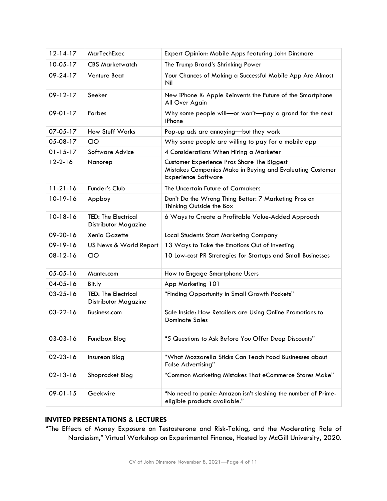| $12 - 14 - 17$ | MarTechExec                                        | Expert Opinion: Mobile Apps featuring John Dinsmore                                                                                   |
|----------------|----------------------------------------------------|---------------------------------------------------------------------------------------------------------------------------------------|
| $10-05-17$     | <b>CBS Marketwatch</b>                             | The Trump Brand's Shrinking Power                                                                                                     |
| 09-24-17       | <b>Venture Beat</b>                                | Your Chances of Making a Successful Mobile App Are Almost<br>Nil                                                                      |
| 09-12-17       | Seeker                                             | New iPhone X: Apple Reinvents the Future of the Smartphone<br>All Over Again                                                          |
| 09-01-17       | Forbes                                             | Why some people will-or won't-pay a grand for the next<br>iPhone                                                                      |
| 07-05-17       | How Stuff Works                                    | Pop-up ads are annoying-but they work                                                                                                 |
| 05-08-17       | <b>CIO</b>                                         | Why some people are willing to pay for a mobile app                                                                                   |
| $01 - 15 - 17$ | Software Advice                                    | 4 Considerations When Hiring a Marketer                                                                                               |
| $12 - 2 - 16$  | Nanorep                                            | Customer Experience Pros Share The Biggest<br>Mistakes Companies Make in Buying and Evaluating Customer<br><b>Experience Software</b> |
| $11 - 21 - 16$ | Funder's Club                                      | The Uncertain Future of Carmakers                                                                                                     |
| 10-19-16       | Appboy                                             | Don't Do the Wrong Thing Better: 7 Marketing Pros on<br>Thinking Outside the Box                                                      |
| 10-18-16       | <b>TED: The Electrical</b><br>Distributor Magazine | 6 Ways to Create a Profitable Value-Added Approach                                                                                    |
| 09-20-16       | <b>Xenia Gazette</b>                               | <b>Local Students Start Marketing Company</b>                                                                                         |
| 09-19-16       | US News & World Report                             | 13 Ways to Take the Emotions Out of Investing                                                                                         |
| 08-12-16       | <b>CIO</b>                                         | 10 Low-cost PR Strategies for Startups and Small Businesses                                                                           |
| 05-05-16       | Manta.com                                          | How to Engage Smartphone Users                                                                                                        |
| 04-05-16       | Bit.ly                                             | App Marketing 101                                                                                                                     |
| $03 - 25 - 16$ | <b>TED: The Electrical</b><br>Distributor Magazine | "Finding Opportunity in Small Growth Pockets"                                                                                         |
| $03-22-16$     | Business.com                                       | Sale Inside: How Retailers are Using Online Promotions to<br><b>Dominate Sales</b>                                                    |
| 03-03-16       | Fundbox Blog                                       | "5 Questions to Ask Before You Offer Deep Discounts"                                                                                  |
| 02-23-16       | Insureon Blog                                      | "What Mozzarella Sticks Can Teach Food Businesses about<br><b>False Advertising"</b>                                                  |
| 02-13-16       | Shoprocket Blog                                    | "Common Marketing Mistakes That eCommerce Stores Make"                                                                                |
|                |                                                    |                                                                                                                                       |

# **INVITED PRESENTATIONS & LECTURES**

"The Effects of Money Exposure on Testosterone and Risk-Taking, and the Moderating Role of Narcissism," Virtual Workshop on Experimental Finance, Hosted by McGill University, 2020.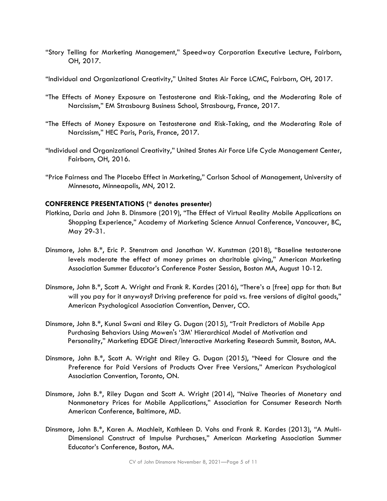- "Story Telling for Marketing Management," Speedway Corporation Executive Lecture, Fairborn, OH, 2017.
- "Individual and Organizational Creativity," United States Air Force LCMC, Fairborn, OH, 2017.
- "The Effects of Money Exposure on Testosterone and Risk-Taking, and the Moderating Role of Narcissism," EM Strasbourg Business School, Strasbourg, France, 2017.
- "The Effects of Money Exposure on Testosterone and Risk-Taking, and the Moderating Role of Narcissism," HEC Paris, Paris, France, 2017.
- "Individual and Organizational Creativity," United States Air Force Life Cycle Management Center, Fairborn, OH, 2016.
- "Price Fairness and The Placebo Effect in Marketing," Carlson School of Management, University of Minnesota, Minneapolis, MN, 2012.

#### **CONFERENCE PRESENTATIONS (\* denotes presenter)**

- Plotkina, Daria and John B. Dinsmore (2019), "The Effect of Virtual Reality Mobile Applications on Shopping Experience," Academy of Marketing Science Annual Conference, Vancouver, BC, May 29-31.
- Dinsmore, John B.\*, Eric P. Stenstrom and Jonathan W. Kunstman (2018), "Baseline testosterone levels moderate the effect of money primes on charitable giving," American Marketing Association Summer Educator's Conference Poster Session, Boston MA, August 10-12.
- Dinsmore, John B.\*, Scott A. Wright and Frank R. Kardes (2016), "There's a [free] app for that: But will you pay for it anyways? Driving preference for paid vs. free versions of digital goods," American Psychological Association Convention, Denver, CO.
- Dinsmore, John B.\*, Kunal Swani and Riley G. Dugan (2015), "Trait Predictors of Mobile App Purchasing Behaviors Using Mowen's '3M' Hierarchical Model of Motivation and Personality," Marketing EDGE Direct/Interactive Marketing Research Summit, Boston, MA.
- Dinsmore, John B.\*, Scott A. Wright and Riley G. Dugan (2015), "Need for Closure and the Preference for Paid Versions of Products Over Free Versions," American Psychological Association Convention, Toronto, ON.
- Dinsmore, John B.\*, Riley Dugan and Scott A. Wright (2014), "Naïve Theories of Monetary and Nonmonetary Prices for Mobile Applications," Association for Consumer Research North American Conference, Baltimore, MD.
- Dinsmore, John B.\*, Karen A. Machleit, Kathleen D. Vohs and Frank R. Kardes (2013), "A Multi-Dimensional Construct of Impulse Purchases," American Marketing Association Summer Educator's Conference, Boston, MA.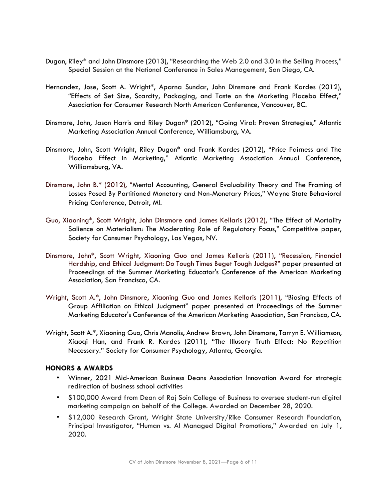- Dugan, Riley\* and John Dinsmore (2013), "Researching the Web 2.0 and 3.0 in the Selling Process," Special Session at the National Conference in Sales Management, San Diego, CA.
- Hernandez, Jose, Scott A. Wright\*, Aparna Sundar, John Dinsmore and Frank Kardes (2012), "Effects of Set Size, Scarcity, Packaging, and Taste on the Marketing Placebo Effect," Association for Consumer Research North American Conference, Vancouver, BC.
- Dinsmore, John, Jason Harris and Riley Dugan\* (2012), "Going Viral: Proven Strategies," Atlantic Marketing Association Annual Conference, Williamsburg, VA.
- Dinsmore, John, Scott Wright, Riley Dugan\* and Frank Kardes (2012), "Price Fairness and The Placebo Effect in Marketing," Atlantic Marketing Association Annual Conference, Williamsburg, VA.
- Dinsmore, John B.\* (2012), "Mental Accounting, General Evaluability Theory and The Framing of Losses Posed By Partitioned Monetary and Non-Monetary Prices," Wayne State Behavioral Pricing Conference, Detroit, MI.
- Guo, Xiaoning\*, Scott Wright, John Dinsmore and James Kellaris (2012), "The Effect of Mortality Salience on Materialism: The Moderating Role of Regulatory Focus," Competitive paper, Society for Consumer Psychology, Las Vegas, NV.
- Dinsmore, John\*, Scott Wright, Xiaoning Guo and James Kellaris (2011), "Recession, Financial Hardship, and Ethical Judgment: Do Tough Times Beget Tough Judges?" paper presented at Proceedings of the Summer Marketing Educator's Conference of the American Marketing Association, San Francisco, CA.
- Wright, Scott A.\*, John Dinsmore, Xiaoning Guo and James Kellaris (2011), "Biasing Effects of Group Affiliation on Ethical Judgment" paper presented at Proceedings of the Summer Marketing Educator's Conference of the American Marketing Association, San Francisco, CA.
- Wright, Scott A.\*, Xiaoning Guo, Chris Manolis, Andrew Brown, John Dinsmore, Tarryn E. Williamson, Xiaoqi Han, and Frank R. Kardes (2011), "The Illusory Truth Effect: No Repetition Necessary." Society for Consumer Psychology, Atlanta, Georgia.

## **HONORS & AWARDS**

- Winner, 2021 Mid-American Business Deans Association Innovation Award for strategic redirection of business school activities
- \$100,000 Award from Dean of Raj Soin College of Business to oversee student-run digital marketing campaign on behalf of the College. Awarded on December 28, 2020.
- \$12,000 Research Grant, Wright State University/Rike Consumer Research Foundation, Principal Investigator, "Human vs. AI Managed Digital Promotions," Awarded on July 1, 2020.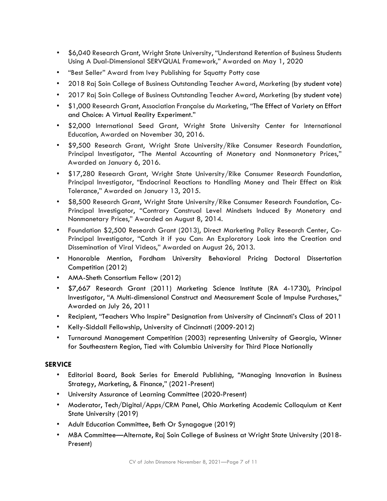- \$6,040 Research Grant, Wright State University, "Understand Retention of Business Students Using A Dual-Dimensional SERVQUAL Framework," Awarded on May 1, 2020
- "Best Seller" Award from Ivey Publishing for Squatty Potty case
- 2018 Raj Soin College of Business Outstanding Teacher Award, Marketing (by student vote)
- 2017 Raj Soin College of Business Outstanding Teacher Award, Marketing (by student vote)
- \$1,000 Research Grant, Association Française du Marketing, "The Effect of Variety on Effort and Choice: A Virtual Reality Experiment."
- \$2,000 International Seed Grant, Wright State University Center for International Education, Awarded on November 30, 2016.
- \$9,500 Research Grant, Wright State University/Rike Consumer Research Foundation, Principal Investigator, "The Mental Accounting of Monetary and Nonmonetary Prices," Awarded on January 6, 2016.
- \$17,280 Research Grant, Wright State University/Rike Consumer Research Foundation, Principal Investigator, "Endocrinal Reactions to Handling Money and Their Effect on Risk Tolerance," Awarded on January 13, 2015.
- \$8,500 Research Grant, Wright State University/Rike Consumer Research Foundation, Co-Principal Investigator, "Contrary Construal Level Mindsets Induced By Monetary and Nonmonetary Prices," Awarded on August 8, 2014.
- Foundation \$2,500 Research Grant (2013), Direct Marketing Policy Research Center, Co-Principal Investigator, "Catch it if you Can: An Exploratory Look into the Creation and Dissemination of Viral Videos," Awarded on August 26, 2013.
- Honorable Mention, Fordham University Behavioral Pricing Doctoral Dissertation Competition (2012)
- AMA-Sheth Consortium Fellow (2012)
- \$7,667 Research Grant (2011) Marketing Science Institute (RA 4-1730), Principal Investigator, "A Multi-dimensional Construct and Measurement Scale of Impulse Purchases," Awarded on July 26, 2011
- Recipient, "Teachers Who Inspire" Designation from University of Cincinnati's Class of 2011
- Kelly-Siddall Fellowship, University of Cincinnati (2009-2012)
- Turnaround Management Competition (2003) representing University of Georgia, Winner for Southeastern Region, Tied with Columbia University for Third Place Nationally

## **SERVICE**

- Editorial Board, Book Series for Emerald Publishing, "Managing Innovation in Business Strategy, Marketing, & Finance," (2021-Present)
- University Assurance of Learning Committee (2020-Present)
- Moderator, Tech/Digital/Apps/CRM Panel, Ohio Marketing Academic Colloquium at Kent State University (2019)
- Adult Education Committee, Beth Or Synagogue (2019)
- MBA Committee—Alternate, Raj Soin College of Business at Wright State University (2018- Present)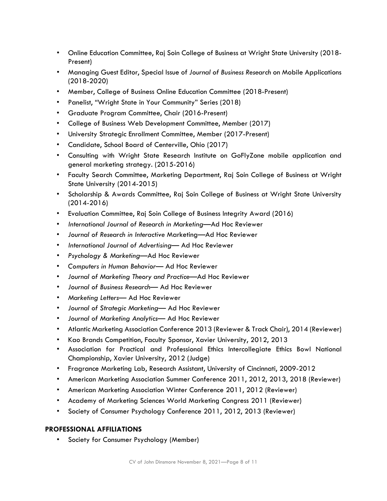- Online Education Committee, Raj Soin College of Business at Wright State University (2018- Present)
- Managing Guest Editor, Special Issue of *Journal of Business Research* on Mobile Applications (2018-2020)
- Member, College of Business Online Education Committee (2018-Present)
- Panelist, "Wright State in Your Community" Series (2018)
- Graduate Program Committee, Chair (2016-Present)
- College of Business Web Development Committee, Member (2017)
- University Strategic Enrollment Committee, Member (2017-Present)
- Candidate, School Board of Centerville, Ohio (2017)
- Consulting with Wright State Research Institute on GoFlyZone mobile application and general marketing strategy. (2015-2016)
- Faculty Search Committee, Marketing Department, Raj Soin College of Business at Wright State University (2014-2015)
- Scholarship & Awards Committee, Raj Soin College of Business at Wright State University (2014-2016)
- Evaluation Committee, Raj Soin College of Business Integrity Award (2016)
- *International Journal of Research in Marketing*—Ad Hoc Reviewer
- *Journal of Research in Interactive* Marketing—Ad Hoc Reviewer
- *International Journal of Advertising* Ad Hoc Reviewer
- *Psychology & Marketing*—Ad Hoc Reviewer
- *Computers in Human Behavior* Ad Hoc Reviewer
- *Journal of Marketing Theory and Practice*—Ad Hoc Reviewer
- *Journal of Business Research* Ad Hoc Reviewer
- *Marketing Letters* Ad Hoc Reviewer
- *Journal of Strategic Marketing* Ad Hoc Reviewer
- *Journal of Marketing Analytics* Ad Hoc Reviewer
- Atlantic Marketing Association Conference 2013 (Reviewer & Track Chair), 2014 (Reviewer)
- Kao Brands Competition, Faculty Sponsor, Xavier University, 2012, 2013
- Association for Practical and Professional Ethics Intercollegiate Ethics Bowl National Championship, Xavier University, 2012 (Judge)
- Fragrance Marketing Lab, Research Assistant, University of Cincinnati, 2009-2012
- American Marketing Association Summer Conference 2011, 2012, 2013, 2018 (Reviewer)
- American Marketing Association Winter Conference 2011, 2012 (Reviewer)
- Academy of Marketing Sciences World Marketing Congress 2011 (Reviewer)
- Society of Consumer Psychology Conference 2011, 2012, 2013 (Reviewer)

# **PROFESSIONAL AFFILIATIONS**

Society for Consumer Psychology (Member)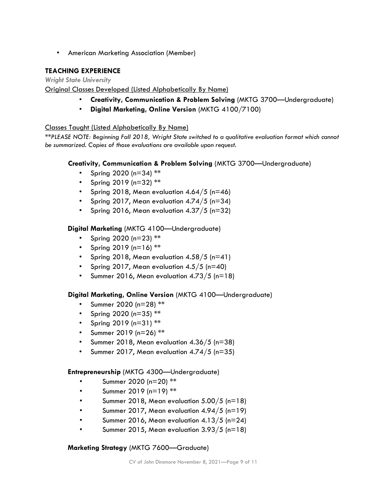• American Marketing Association (Member)

# **TEACHING EXPERIENCE**

*Wright State University* 

# Original Classes Developed (Listed Alphabetically By Name)

- **Creativity, Communication & Problem Solving** (MKTG 3700—Undergraduate)
- **Digital Marketing, Online Version** (MKTG 4100/7100)

# Classes Taught (Listed Alphabetically By Name)

*\*\*PLEASE NOTE: Beginning Fall 2018, Wright State switched to a qualitative evaluation format which cannot be summarized. Copies of those evaluations are available upon request.* 

# **Creativity, Communication & Problem Solving** (MKTG 3700—Undergraduate)

- Spring 2020 (n=34) \*\*
- Spring 2019 ( $n=32$ ) \*\*
- Spring 2018, Mean evaluation  $4.64/5$  (n=46)
- Spring 2017, Mean evaluation 4.74/5 (n=34)
- Spring 2016, Mean evaluation 4.37/5 (n=32)

# **Digital Marketing** (MKTG 4100—Undergraduate)

- Spring 2020 ( $n=23$ ) \*\*
- Spring 2019 ( $n=16$ ) \*\*
- Spring 2018, Mean evaluation  $4.58/5$  (n=41)
- Spring 2017, Mean evaluation  $4.5/5$  (n=40)
- Summer 2016, Mean evaluation 4.73/5 (n=18)

## **Digital Marketing, Online Version** (MKTG 4100—Undergraduate)

- Summer 2020 (n=28) \*\*
- Spring 2020 ( $n=35$ ) \*\*
- Spring 2019 (n=31) \*\*
- Summer 2019 (n=26) \*\*
- Summer 2018, Mean evaluation  $4.36/5$  (n=38)
- Summer 2017, Mean evaluation  $4.74/5$  (n=35)

## **Entrepreneurship** (MKTG 4300—Undergraduate)

- Summer 2020 (n=20) \*\*
- Summer 2019 (n=19)  $**$
- Summer 2018, Mean evaluation 5.00/5 (n=18)
- Summer 2017, Mean evaluation 4.94/5 (n=19)
- Summer 2016, Mean evaluation  $4.13/5$  (n=24)
- Summer 2015, Mean evaluation 3.93/5 (n=18)

## **Marketing Strategy** (MKTG 7600—Graduate)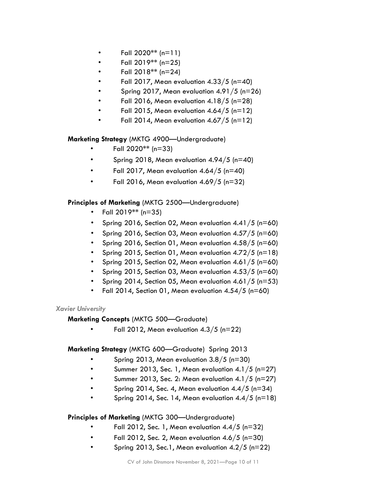- Fall  $2020**$  (n=11)
- Fall 2019\*\* (n=25)
- Fall  $2018**$  (n=24)
- Fall 2017, Mean evaluation  $4.33/5$  (n=40)
- Spring 2017, Mean evaluation  $4.91/5$  (n=26)
- Fall 2016, Mean evaluation  $4.18/5$  (n=28)
- Fall 2015, Mean evaluation  $4.64/5$  (n=12)
- Fall 2014, Mean evaluation  $4.67/5$  (n=12)

**Marketing Strategy** (MKTG 4900—Undergraduate)

- Fall 2020\*\* (n=33)
- Spring 2018, Mean evaluation  $4.94/5$  (n=40)
- Fall 2017, Mean evaluation  $4.64/5$  (n=40)
- Fall 2016, Mean evaluation  $4.69/5$  (n=32)

**Principles of Marketing** (MKTG 2500—Undergraduate)

- Fall 2019\*\* (n=35)
- Spring 2016, Section 02, Mean evaluation  $4.41/5$  (n=60)
- Spring 2016, Section 03, Mean evaluation  $4.57/5$  (n=60)
- Spring 2016, Section 01, Mean evaluation  $4.58/5$  (n=60)
- Spring 2015, Section 01, Mean evaluation  $4.72/5$  (n=18)
- Spring 2015, Section 02, Mean evaluation 4.61/5 (n=60)
- Spring 2015, Section 03, Mean evaluation  $4.53/5$  (n=60)
- Spring 2014, Section 05, Mean evaluation 4.61/5 (n=53)
- Fall 2014, Section 01, Mean evaluation  $4.54/5$  (n=60)

#### *Xavier University*

## **Marketing Concepts** (MKTG 500—Graduate)

Fall 2012, Mean evaluation  $4.3/5$  (n=22)

**Marketing Strategy** (MKTG 600—Graduate) Spring 2013

- Spring 2013, Mean evaluation 3.8/5 (n=30)
- Summer 2013, Sec. 1, Mean evaluation  $4.1/5$  (n=27)
- Summer 2013, Sec. 2: Mean evaluation 4.1/5 (n=27)
- Spring 2014, Sec. 4, Mean evaluation  $4.4/5$  (n=34)
- Spring 2014, Sec. 14, Mean evaluation  $4.4/5$  (n=18)

## **Principles of Marketing** (MKTG 300—Undergraduate)

- Fall 2012, Sec. 1, Mean evaluation  $4.4/5$  (n=32)
- Fall 2012, Sec. 2, Mean evaluation  $4.6/5$  (n=30)
- Spring 2013, Sec.1, Mean evaluation  $4.2/5$  (n=22)